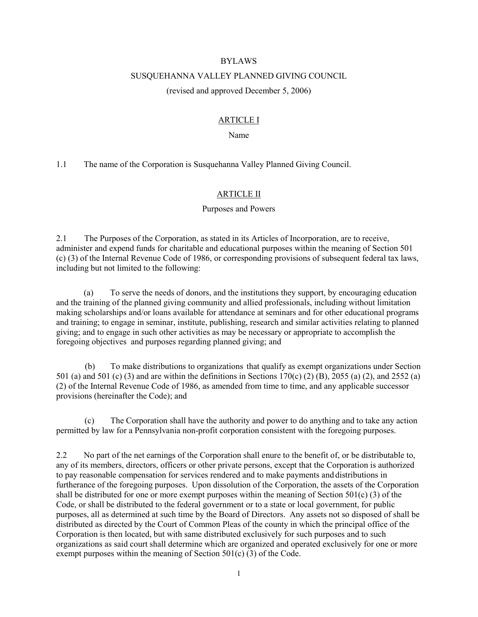#### BYLAWS

### SUSQUEHANNA VALLEY PLANNED GIVING COUNCIL

(revised and approved December 5, 2006)

## ARTICLE I

### Name

1.1 The name of the Corporation is Susquehanna Valley Planned Giving Council.

## ARTICLE II

### Purposes and Powers

2.1 The Purposes of the Corporation, as stated in its Articles of Incorporation, are to receive, administer and expend funds for charitable and educational purposes within the meaning of Section 501 (c) (3) of the Internal Revenue Code of 1986, or corresponding provisions of subsequent federal tax laws, including but not limited to the following:

 (a) To serve the needs of donors, and the institutions they support, by encouraging education and the training of the planned giving community and allied professionals, including without limitation making scholarships and/or loans available for attendance at seminars and for other educational programs and training; to engage in seminar, institute, publishing, research and similar activities relating to planned giving; and to engage in such other activities as may be necessary or appropriate to accomplish the foregoing objectives and purposes regarding planned giving; and

 (b) To make distributions to organizations that qualify as exempt organizations under Section 501 (a) and 501 (c) (3) and are within the definitions in Sections 170(c) (2) (B), 2055 (a) (2), and 2552 (a) (2) of the Internal Revenue Code of 1986, as amended from time to time, and any applicable successor provisions (hereinafter the Code); and

 (c) The Corporation shall have the authority and power to do anything and to take any action permitted by law for a Pennsylvania non-profit corporation consistent with the foregoing purposes.

2.2 No part of the net earnings of the Corporation shall enure to the benefit of, or be distributable to, any of its members, directors, officers or other private persons, except that the Corporation is authorized to pay reasonable compensation for services rendered and to make payments and distributions in furtherance of the foregoing purposes. Upon dissolution of the Corporation, the assets of the Corporation shall be distributed for one or more exempt purposes within the meaning of Section 501(c) (3) of the Code, or shall be distributed to the federal government or to a state or local government, for public purposes, all as determined at such time by the Board of Directors. Any assets not so disposed of shall be distributed as directed by the Court of Common Pleas of the county in which the principal office of the Corporation is then located, but with same distributed exclusively for such purposes and to such organizations as said court shall determine which are organized and operated exclusively for one or more exempt purposes within the meaning of Section 501(c) (3) of the Code.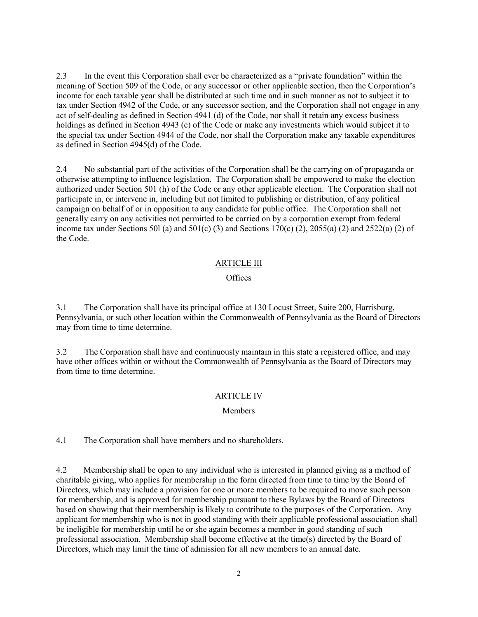2.3 In the event this Corporation shall ever be characterized as a "private foundation" within the meaning of Section 509 of the Code, or any successor or other applicable section, then the Corporation's income for each taxable year shall be distributed at such time and in such manner as not to subject it to tax under Section 4942 of the Code, or any successor section, and the Corporation shall not engage in any act of self-dealing as defined in Section 4941 (d) of the Code, nor shall it retain any excess business holdings as defined in Section 4943 (c) of the Code or make any investments which would subject it to the special tax under Section 4944 of the Code, nor shall the Corporation make any taxable expenditures as defined in Section 4945(d) of the Code.

2.4 No substantial part of the activities of the Corporation shall be the carrying on of propaganda or otherwise attempting to influence legislation. The Corporation shall be empowered to make the election authorized under Section 501 (h) of the Code or any other applicable election. The Corporation shall not participate in, or intervene in, including but not limited to publishing or distribution, of any political campaign on behalf of or in opposition to any candidate for public office. The Corporation shall not generally carry on any activities not permitted to be carried on by a corporation exempt from federal income tax under Sections 50l (a) and  $501(c)$  (3) and Sections 170(c) (2), 2055(a) (2) and 2522(a) (2) of the Code.

### ARTICLE III

#### **Offices**

3.1 The Corporation shall have its principal office at 130 Locust Street, Suite 200, Harrisburg, Pennsylvania, or such other location within the Commonwealth of Pennsylvania as the Board of Directors may from time to time determine.

3.2 The Corporation shall have and continuously maintain in this state a registered office, and may have other offices within or without the Commonwealth of Pennsylvania as the Board of Directors may from time to time determine.

## ARTICLE IV

#### Members

4.1 The Corporation shall have members and no shareholders.

4.2 Membership shall be open to any individual who is interested in planned giving as a method of charitable giving, who applies for membership in the form directed from time to time by the Board of Directors, which may include a provision for one or more members to be required to move such person for membership, and is approved for membership pursuant to these Bylaws by the Board of Directors based on showing that their membership is likely to contribute to the purposes of the Corporation. Any applicant for membership who is not in good standing with their applicable professional association shall be ineligible for membership until he or she again becomes a member in good standing of such professional association. Membership shall become effective at the time(s) directed by the Board of Directors, which may limit the time of admission for all new members to an annual date.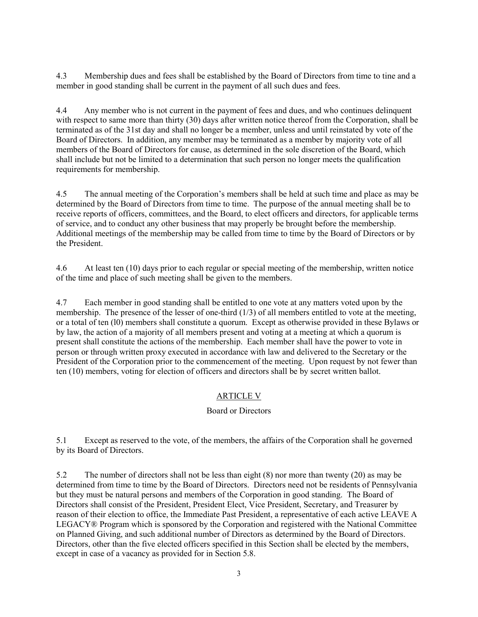4.3 Membership dues and fees shall be established by the Board of Directors from time to tine and a member in good standing shall be current in the payment of all such dues and fees.

4.4 Any member who is not current in the payment of fees and dues, and who continues delinquent with respect to same more than thirty (30) days after written notice thereof from the Corporation, shall be terminated as of the 31st day and shall no longer be a member, unless and until reinstated by vote of the Board of Directors. In addition, any member may be terminated as a member by majority vote of all members of the Board of Directors for cause, as determined in the sole discretion of the Board, which shall include but not be limited to a determination that such person no longer meets the qualification requirements for membership.

4.5 The annual meeting of the Corporation's members shall be held at such time and place as may be determined by the Board of Directors from time to time. The purpose of the annual meeting shall be to receive reports of officers, committees, and the Board, to elect officers and directors, for applicable terms of service, and to conduct any other business that may properly be brought before the membership. Additional meetings of the membership may be called from time to time by the Board of Directors or by the President.

4.6 At least ten (10) days prior to each regular or special meeting of the membership, written notice of the time and place of such meeting shall be given to the members.

4.7 Each member in good standing shall be entitled to one vote at any matters voted upon by the membership. The presence of the lesser of one-third  $(1/3)$  of all members entitled to vote at the meeting, or a total of ten (l0) members shall constitute a quorum. Except as otherwise provided in these Bylaws or by law, the action of a majority of all members present and voting at a meeting at which a quorum is present shall constitute the actions of the membership. Each member shall have the power to vote in person or through written proxy executed in accordance with law and delivered to the Secretary or the President of the Corporation prior to the commencement of the meeting. Upon request by not fewer than ten (10) members, voting for election of officers and directors shall be by secret written ballot.

# ARTICLE V

## Board or Directors

5.1 Except as reserved to the vote, of the members, the affairs of the Corporation shall he governed by its Board of Directors.

5.2 The number of directors shall not be less than eight (8) nor more than twenty (20) as may be determined from time to time by the Board of Directors. Directors need not be residents of Pennsylvania but they must be natural persons and members of the Corporation in good standing. The Board of Directors shall consist of the President, President Elect, Vice President, Secretary, and Treasurer by reason of their election to office, the Immediate Past President, a representative of each active LEAVE A LEGACY® Program which is sponsored by the Corporation and registered with the National Committee on Planned Giving, and such additional number of Directors as determined by the Board of Directors. Directors, other than the five elected officers specified in this Section shall be elected by the members, except in case of a vacancy as provided for in Section 5.8.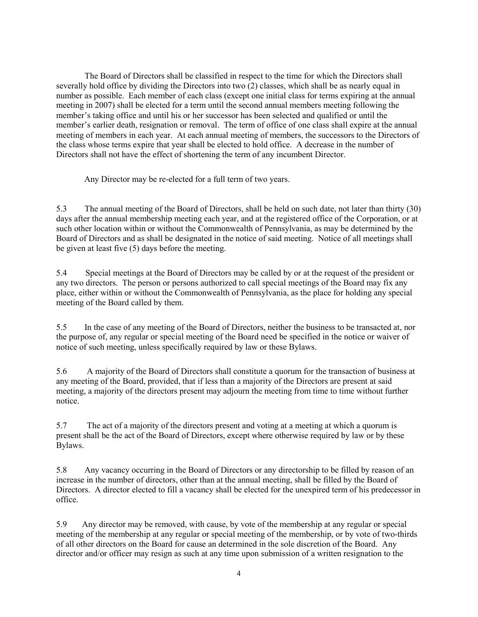The Board of Directors shall be classified in respect to the time for which the Directors shall severally hold office by dividing the Directors into two (2) classes, which shall be as nearly equal in number as possible. Each member of each class (except one initial class for terms expiring at the annual meeting in 2007) shall be elected for a term until the second annual members meeting following the member's taking office and until his or her successor has been selected and qualified or until the member's earlier death, resignation or removal. The term of office of one class shall expire at the annual meeting of members in each year. At each annual meeting of members, the successors to the Directors of the class whose terms expire that year shall be elected to hold office. A decrease in the number of Directors shall not have the effect of shortening the term of any incumbent Director.

Any Director may be re-elected for a full term of two years.

5.3 The annual meeting of the Board of Directors, shall be held on such date, not later than thirty (30) days after the annual membership meeting each year, and at the registered office of the Corporation, or at such other location within or without the Commonwealth of Pennsylvania, as may be determined by the Board of Directors and as shall be designated in the notice of said meeting. Notice of all meetings shall be given at least five (5) days before the meeting.

5.4 Special meetings at the Board of Directors may be called by or at the request of the president or any two directors. The person or persons authorized to call special meetings of the Board may fix any place, either within or without the Commonwealth of Pennsylvania, as the place for holding any special meeting of the Board called by them.

5.5 In the case of any meeting of the Board of Directors, neither the business to be transacted at, nor the purpose of, any regular or special meeting of the Board need be specified in the notice or waiver of notice of such meeting, unless specifically required by law or these Bylaws.

5.6 A majority of the Board of Directors shall constitute a quorum for the transaction of business at any meeting of the Board, provided, that if less than a majority of the Directors are present at said meeting, a majority of the directors present may adjourn the meeting from time to time without further notice.

5.7 The act of a majority of the directors present and voting at a meeting at which a quorum is present shall be the act of the Board of Directors, except where otherwise required by law or by these Bylaws.

5.8 Any vacancy occurring in the Board of Directors or any directorship to be filled by reason of an increase in the number of directors, other than at the annual meeting, shall be filled by the Board of Directors. A director elected to fill a vacancy shall be elected for the unexpired term of his predecessor in office.

5.9 Any director may be removed, with cause, by vote of the membership at any regular or special meeting of the membership at any regular or special meeting of the membership, or by vote of two-thirds of all other directors on the Board for cause an determined in the sole discretion of the Board. Any director and/or officer may resign as such at any time upon submission of a written resignation to the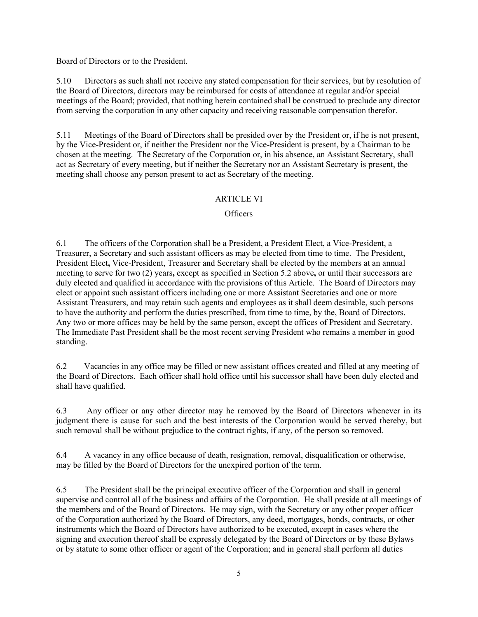Board of Directors or to the President.

5.10 Directors as such shall not receive any stated compensation for their services, but by resolution of the Board of Directors, directors may be reimbursed for costs of attendance at regular and/or special meetings of the Board; provided, that nothing herein contained shall be construed to preclude any director from serving the corporation in any other capacity and receiving reasonable compensation therefor.

5.11 Meetings of the Board of Directors shall be presided over by the President or, if he is not present, by the Vice-President or, if neither the President nor the Vice-President is present, by a Chairman to be chosen at the meeting. The Secretary of the Corporation or, in his absence, an Assistant Secretary, shall act as Secretary of every meeting, but if neither the Secretary nor an Assistant Secretary is present, the meeting shall choose any person present to act as Secretary of the meeting.

# ARTICLE VI

# **Officers**

6.1 The officers of the Corporation shall be a President, a President Elect, a Vice-President, a Treasurer, a Secretary and such assistant officers as may be elected from time to time. The President, President Elect, Vice-President, Treasurer and Secretary shall be elected by the members at an annual meeting to serve for two (2) years, except as specified in Section 5.2 above, or until their successors are duly elected and qualified in accordance with the provisions of this Article. The Board of Directors may elect or appoint such assistant officers including one or more Assistant Secretaries and one or more Assistant Treasurers, and may retain such agents and employees as it shall deem desirable, such persons to have the authority and perform the duties prescribed, from time to time, by the, Board of Directors. Any two or more offices may be held by the same person, except the offices of President and Secretary. The Immediate Past President shall be the most recent serving President who remains a member in good standing.

6.2 Vacancies in any office may be filled or new assistant offices created and filled at any meeting of the Board of Directors. Each officer shall hold office until his successor shall have been duly elected and shall have qualified.

6.3 Any officer or any other director may he removed by the Board of Directors whenever in its judgment there is cause for such and the best interests of the Corporation would be served thereby, but such removal shall be without prejudice to the contract rights, if any, of the person so removed.

6.4 A vacancy in any office because of death, resignation, removal, disqualification or otherwise, may be filled by the Board of Directors for the unexpired portion of the term.

6.5 The President shall be the principal executive officer of the Corporation and shall in general supervise and control all of the business and affairs of the Corporation. He shall preside at all meetings of the members and of the Board of Directors. He may sign, with the Secretary or any other proper officer of the Corporation authorized by the Board of Directors, any deed, mortgages, bonds, contracts, or other instruments which the Board of Directors have authorized to be executed, except in cases where the signing and execution thereof shall be expressly delegated by the Board of Directors or by these Bylaws or by statute to some other officer or agent of the Corporation; and in general shall perform all duties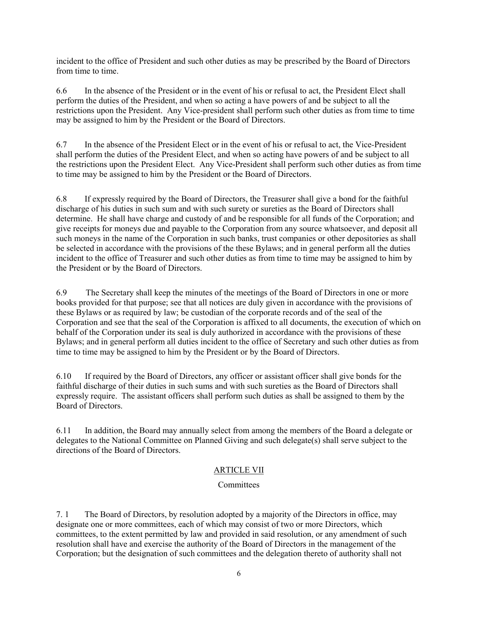incident to the office of President and such other duties as may be prescribed by the Board of Directors from time to time.

6.6 In the absence of the President or in the event of his or refusal to act, the President Elect shall perform the duties of the President, and when so acting a have powers of and be subject to all the restrictions upon the President. Any Vice-president shall perform such other duties as from time to time may be assigned to him by the President or the Board of Directors.

6.7 In the absence of the President Elect or in the event of his or refusal to act, the Vice-President shall perform the duties of the President Elect, and when so acting have powers of and be subject to all the restrictions upon the President Elect. Any Vice-President shall perform such other duties as from time to time may be assigned to him by the President or the Board of Directors.

6.8 If expressly required by the Board of Directors, the Treasurer shall give a bond for the faithful discharge of his duties in such sum and with such surety or sureties as the Board of Directors shall determine. He shall have charge and custody of and be responsible for all funds of the Corporation; and give receipts for moneys due and payable to the Corporation from any source whatsoever, and deposit all such moneys in the name of the Corporation in such banks, trust companies or other depositories as shall be selected in accordance with the provisions of the these Bylaws; and in general perform all the duties incident to the office of Treasurer and such other duties as from time to time may be assigned to him by the President or by the Board of Directors.

6.9 The Secretary shall keep the minutes of the meetings of the Board of Directors in one or more books provided for that purpose; see that all notices are duly given in accordance with the provisions of these Bylaws or as required by law; be custodian of the corporate records and of the seal of the Corporation and see that the seal of the Corporation is affixed to all documents, the execution of which on behalf of the Corporation under its seal is duly authorized in accordance with the provisions of these Bylaws; and in general perform all duties incident to the office of Secretary and such other duties as from time to time may be assigned to him by the President or by the Board of Directors.

6.10 If required by the Board of Directors, any officer or assistant officer shall give bonds for the faithful discharge of their duties in such sums and with such sureties as the Board of Directors shall expressly require. The assistant officers shall perform such duties as shall be assigned to them by the Board of Directors.

6.11 In addition, the Board may annually select from among the members of the Board a delegate or delegates to the National Committee on Planned Giving and such delegate(s) shall serve subject to the directions of the Board of Directors.

# ARTICLE VII

# **Committees**

7. 1 The Board of Directors, by resolution adopted by a majority of the Directors in office, may designate one or more committees, each of which may consist of two or more Directors, which committees, to the extent permitted by law and provided in said resolution, or any amendment of such resolution shall have and exercise the authority of the Board of Directors in the management of the Corporation; but the designation of such committees and the delegation thereto of authority shall not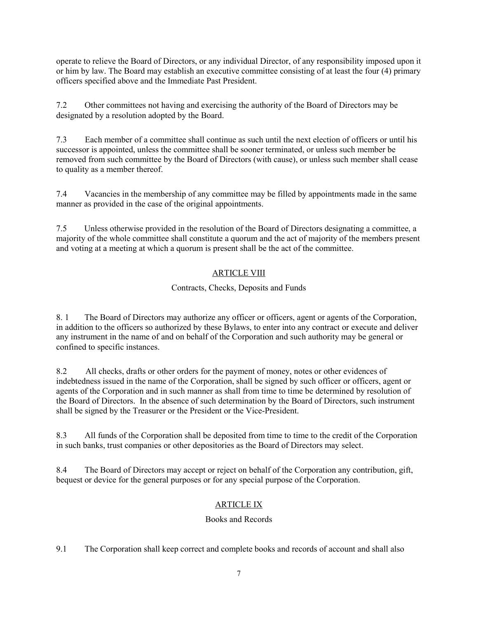operate to relieve the Board of Directors, or any individual Director, of any responsibility imposed upon it or him by law. The Board may establish an executive committee consisting of at least the four (4) primary officers specified above and the Immediate Past President.

7.2 Other committees not having and exercising the authority of the Board of Directors may be designated by a resolution adopted by the Board.

7.3 Each member of a committee shall continue as such until the next election of officers or until his successor is appointed, unless the committee shall be sooner terminated, or unless such member be removed from such committee by the Board of Directors (with cause), or unless such member shall cease to quality as a member thereof.

7.4 Vacancies in the membership of any committee may be filled by appointments made in the same manner as provided in the case of the original appointments.

7.5 Unless otherwise provided in the resolution of the Board of Directors designating a committee, a majority of the whole committee shall constitute a quorum and the act of majority of the members present and voting at a meeting at which a quorum is present shall be the act of the committee.

# ARTICLE VIII

# Contracts, Checks, Deposits and Funds

8. 1 The Board of Directors may authorize any officer or officers, agent or agents of the Corporation, in addition to the officers so authorized by these Bylaws, to enter into any contract or execute and deliver any instrument in the name of and on behalf of the Corporation and such authority may be general or confined to specific instances.

8.2 All checks, drafts or other orders for the payment of money, notes or other evidences of indebtedness issued in the name of the Corporation, shall be signed by such officer or officers, agent or agents of the Corporation and in such manner as shall from time to time be determined by resolution of the Board of Directors. In the absence of such determination by the Board of Directors, such instrument shall be signed by the Treasurer or the President or the Vice-President.

8.3 All funds of the Corporation shall be deposited from time to time to the credit of the Corporation in such banks, trust companies or other depositories as the Board of Directors may select.

8.4 The Board of Directors may accept or reject on behalf of the Corporation any contribution, gift, bequest or device for the general purposes or for any special purpose of the Corporation.

# ARTICLE IX

# Books and Records

9.1 The Corporation shall keep correct and complete books and records of account and shall also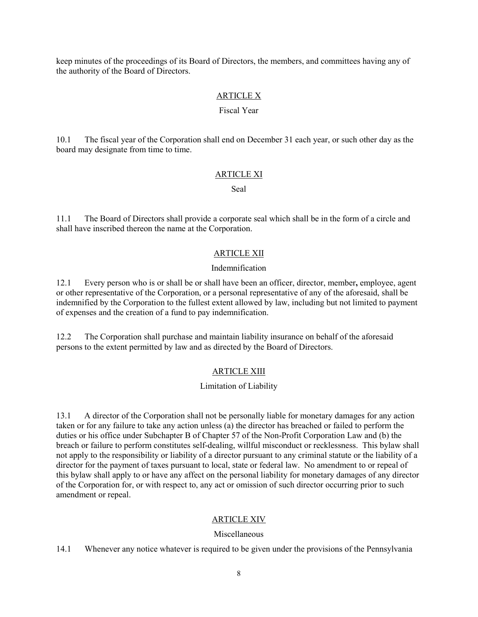keep minutes of the proceedings of its Board of Directors, the members, and committees having any of the authority of the Board of Directors.

### ARTICLE X

#### Fiscal Year

10.1 The fiscal year of the Corporation shall end on December 31 each year, or such other day as the board may designate from time to time.

## ARTICLE XI

Seal

11.1 The Board of Directors shall provide a corporate seal which shall be in the form of a circle and shall have inscribed thereon the name at the Corporation.

## ARTICLE XII

### Indemnification

12.1 Every person who is or shall be or shall have been an officer, director, member, employee, agent or other representative of the Corporation, or a personal representative of any of the aforesaid, shall be indemnified by the Corporation to the fullest extent allowed by law, including but not limited to payment of expenses and the creation of a fund to pay indemnification.

12.2 The Corporation shall purchase and maintain liability insurance on behalf of the aforesaid persons to the extent permitted by law and as directed by the Board of Directors.

## ARTICLE XIII

## Limitation of Liability

13.1 A director of the Corporation shall not be personally liable for monetary damages for any action taken or for any failure to take any action unless (a) the director has breached or failed to perform the duties or his office under Subchapter B of Chapter 57 of the Non-Profit Corporation Law and (b) the breach or failure to perform constitutes self-dealing, willful misconduct or recklessness. This bylaw shall not apply to the responsibility or liability of a director pursuant to any criminal statute or the liability of a director for the payment of taxes pursuant to local, state or federal law. No amendment to or repeal of this bylaw shall apply to or have any affect on the personal liability for monetary damages of any director of the Corporation for, or with respect to, any act or omission of such director occurring prior to such amendment or repeal.

## ARTICLE XIV

## Miscellaneous

14.1 Whenever any notice whatever is required to be given under the provisions of the Pennsylvania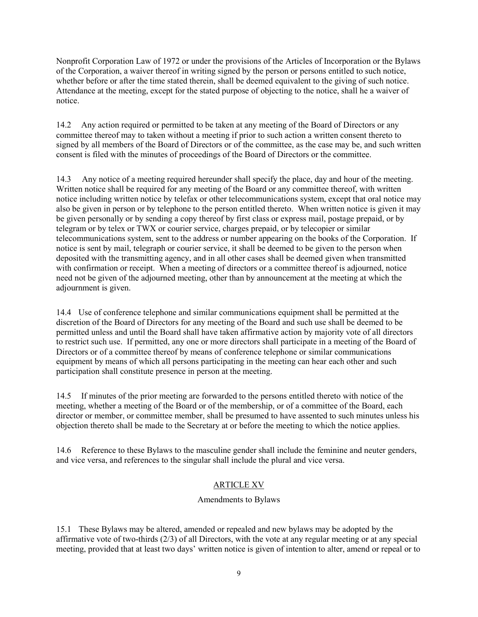Nonprofit Corporation Law of 1972 or under the provisions of the Articles of Incorporation or the Bylaws of the Corporation, a waiver thereof in writing signed by the person or persons entitled to such notice, whether before or after the time stated therein, shall be deemed equivalent to the giving of such notice. Attendance at the meeting, except for the stated purpose of objecting to the notice, shall he a waiver of notice.

14.2 Any action required or permitted to be taken at any meeting of the Board of Directors or any committee thereof may to taken without a meeting if prior to such action a written consent thereto to signed by all members of the Board of Directors or of the committee, as the case may be, and such written consent is filed with the minutes of proceedings of the Board of Directors or the committee.

14.3 Any notice of a meeting required hereunder shall specify the place, day and hour of the meeting. Written notice shall be required for any meeting of the Board or any committee thereof, with written notice including written notice by telefax or other telecommunications system, except that oral notice may also be given in person or by telephone to the person entitled thereto. When written notice is given it may be given personally or by sending a copy thereof by first class or express mail, postage prepaid, or by telegram or by telex or TWX or courier service, charges prepaid, or by telecopier or similar telecommunications system, sent to the address or number appearing on the books of the Corporation. If notice is sent by mail, telegraph or courier service, it shall be deemed to be given to the person when deposited with the transmitting agency, and in all other cases shall be deemed given when transmitted with confirmation or receipt. When a meeting of directors or a committee thereof is adjourned, notice need not be given of the adjourned meeting, other than by announcement at the meeting at which the adjournment is given.

14.4 Use of conference telephone and similar communications equipment shall be permitted at the discretion of the Board of Directors for any meeting of the Board and such use shall be deemed to be permitted unless and until the Board shall have taken affirmative action by majority vote of all directors to restrict such use. If permitted, any one or more directors shall participate in a meeting of the Board of Directors or of a committee thereof by means of conference telephone or similar communications equipment by means of which all persons participating in the meeting can hear each other and such participation shall constitute presence in person at the meeting.

14.5 If minutes of the prior meeting are forwarded to the persons entitled thereto with notice of the meeting, whether a meeting of the Board or of the membership, or of a committee of the Board, each director or member, or committee member, shall be presumed to have assented to such minutes unless his objection thereto shall be made to the Secretary at or before the meeting to which the notice applies.

14.6 Reference to these Bylaws to the masculine gender shall include the feminine and neuter genders, and vice versa, and references to the singular shall include the plural and vice versa.

# ARTICLE XV

# Amendments to Bylaws

15.1 These Bylaws may be altered, amended or repealed and new bylaws may be adopted by the affirmative vote of two-thirds (2/3) of all Directors, with the vote at any regular meeting or at any special meeting, provided that at least two days' written notice is given of intention to alter, amend or repeal or to